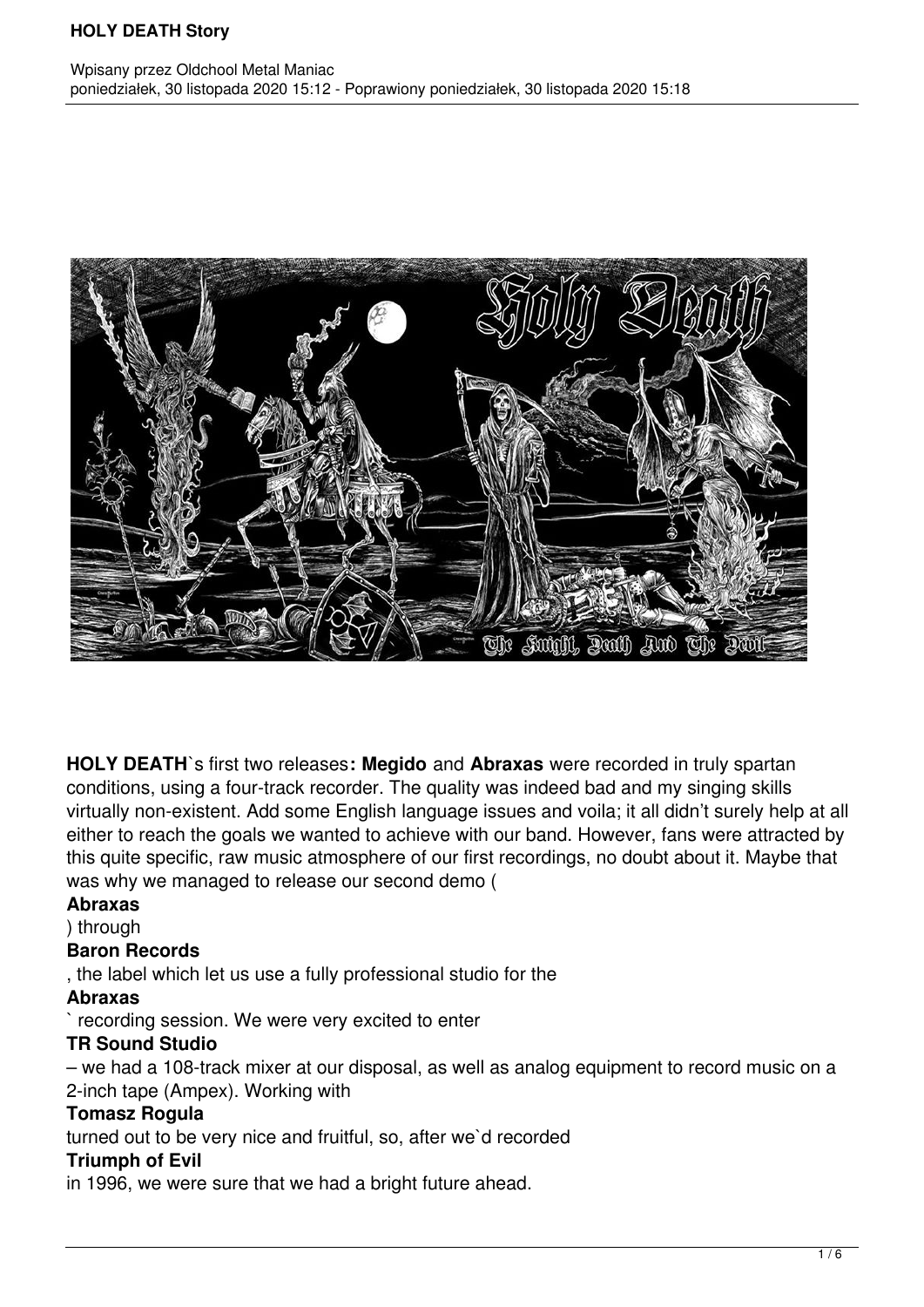

**HOLY DEATH**`s first two releases**: Megido** and **Abraxas** were recorded in truly spartan conditions, using a four-track recorder. The quality was indeed bad and my singing skills virtually non-existent. Add some English language issues and voila; it all didn't surely help at all either to reach the goals we wanted to achieve with our band. However, fans were attracted by this quite specific, raw music atmosphere of our first recordings, no doubt about it. Maybe that was why we managed to release our second demo (

#### **Abraxas**

) through

## **Baron Records**

, the label which let us use a fully professional studio for the

## **Abraxas**

` recording session. We were very excited to enter

## **TR Sound Studio**

– we had a 108-track mixer at our disposal, as well as analog equipment to record music on a 2-inch tape (Ampex). Working with

## **Tomasz Rogula**

turned out to be very nice and fruitful, so, after we`d recorded

## **Triumph of Evil**

in 1996, we were sure that we had a bright future ahead.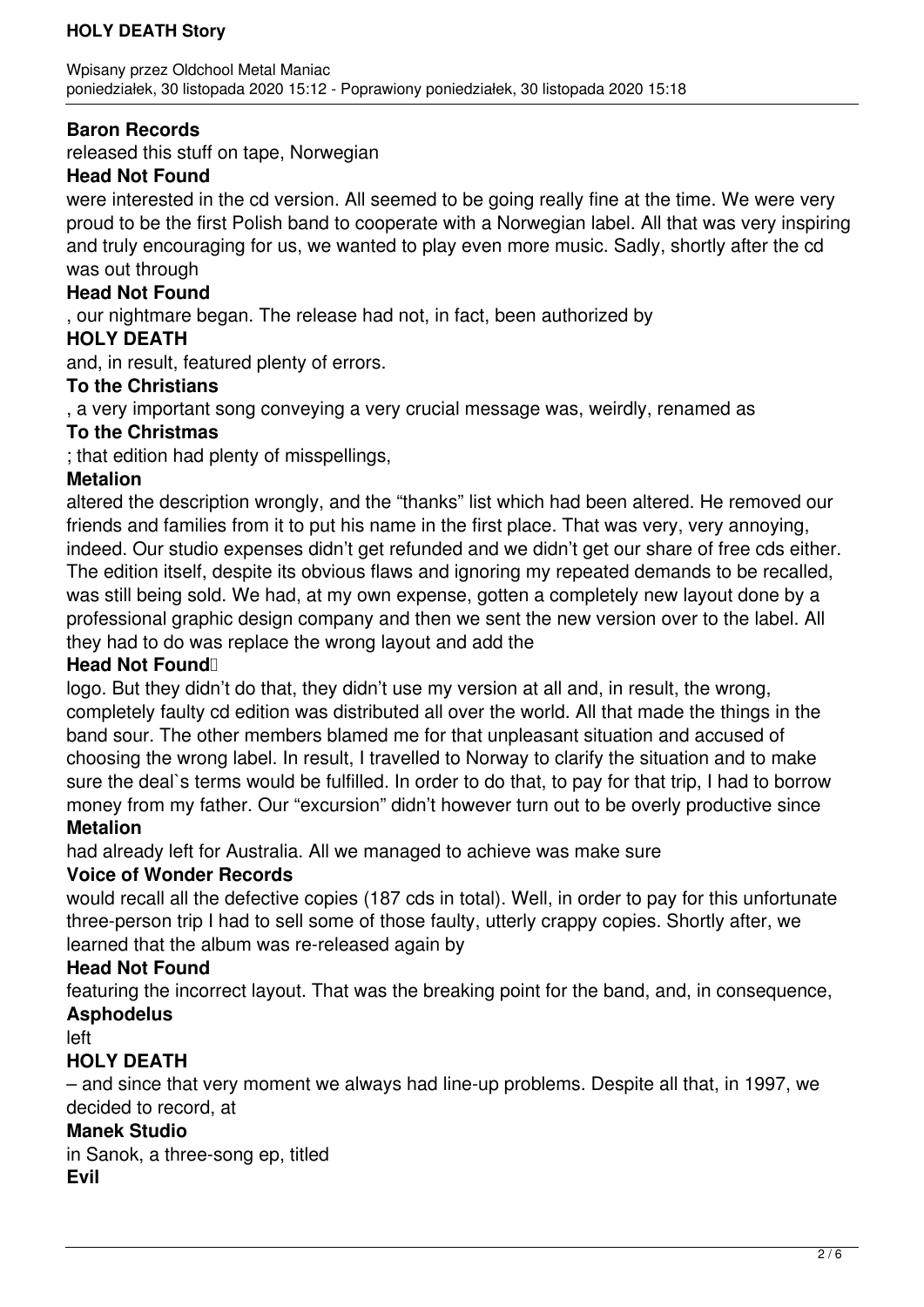## **Baron Records**

released this stuff on tape, Norwegian

### **Head Not Found**

were interested in the cd version. All seemed to be going really fine at the time. We were very proud to be the first Polish band to cooperate with a Norwegian label. All that was very inspiring and truly encouraging for us, we wanted to play even more music. Sadly, shortly after the cd was out through

#### **Head Not Found**

, our nightmare began. The release had not, in fact, been authorized by

### **HOLY DEATH**

and, in result, featured plenty of errors.

### **To the Christians**

, a very important song conveying a very crucial message was, weirdly, renamed as

### **To the Christmas**

; that edition had plenty of misspellings,

### **Metalion**

altered the description wrongly, and the "thanks" list which had been altered. He removed our friends and families from it to put his name in the first place. That was very, very annoying, indeed. Our studio expenses didn't get refunded and we didn't get our share of free cds either. The edition itself, despite its obvious flaws and ignoring my repeated demands to be recalled, was still being sold. We had, at my own expense, gotten a completely new layout done by a professional graphic design company and then we sent the new version over to the label. All they had to do was replace the wrong layout and add the

#### Head Not Found<sup>1</sup>

logo. But they didn't do that, they didn't use my version at all and, in result, the wrong, completely faulty cd edition was distributed all over the world. All that made the things in the band sour. The other members blamed me for that unpleasant situation and accused of choosing the wrong label. In result, I travelled to Norway to clarify the situation and to make sure the deal's terms would be fulfilled. In order to do that, to pay for that trip, I had to borrow money from my father. Our "excursion" didn't however turn out to be overly productive since **Metalion**

had already left for Australia. All we managed to achieve was make sure

## **Voice of Wonder Records**

would recall all the defective copies (187 cds in total). Well, in order to pay for this unfortunate three-person trip I had to sell some of those faulty, utterly crappy copies. Shortly after, we learned that the album was re-released again by

## **Head Not Found**

featuring the incorrect layout. That was the breaking point for the band, and, in consequence, **Asphodelus**

#### left

## **HOLY DEATH**

– and since that very moment we always had line-up problems. Despite all that, in 1997, we decided to record, at

#### **Manek Studio**

in Sanok, a three-song ep, titled **Evil**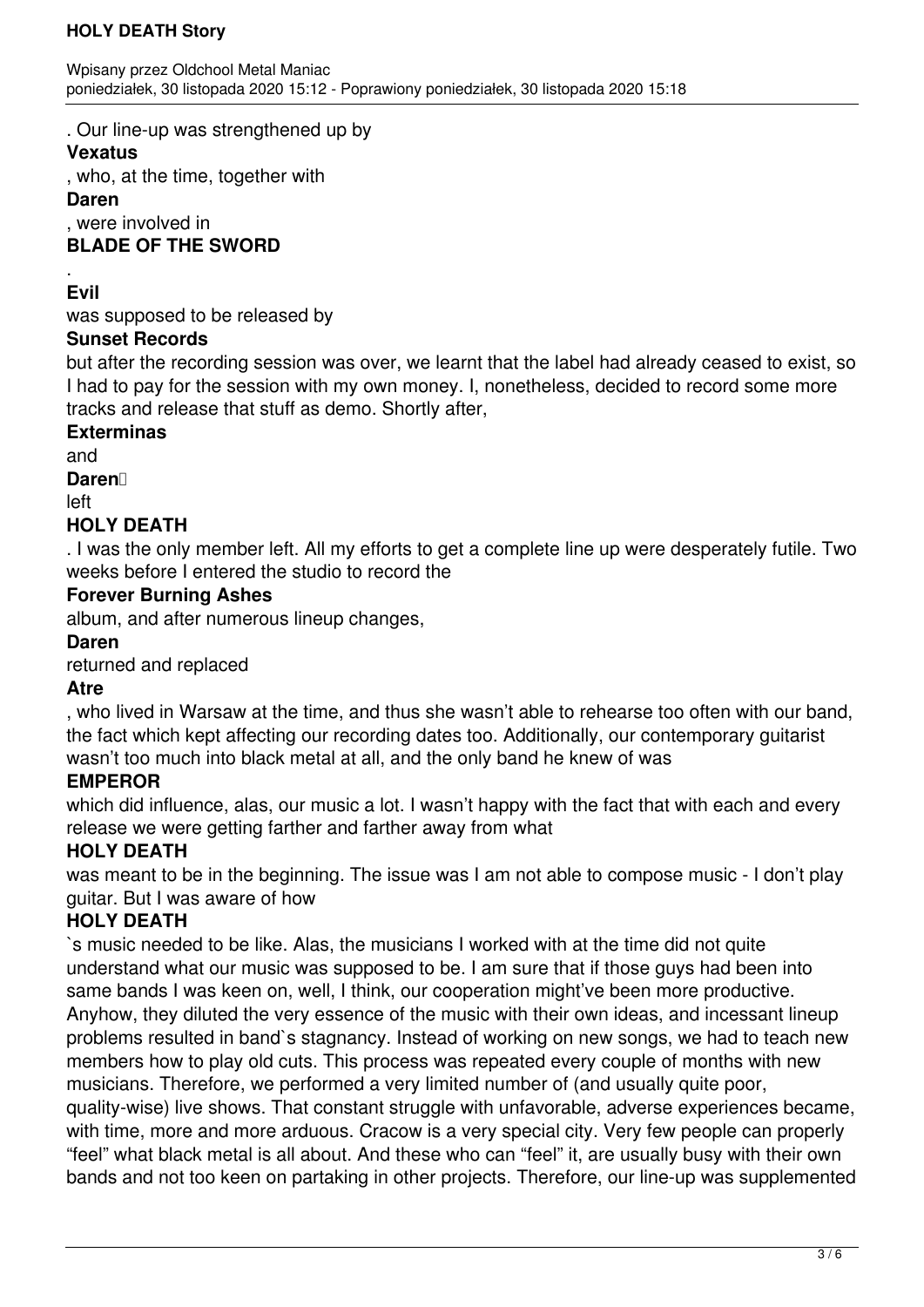. Our line-up was strengthened up by

## **Vexatus**

, who, at the time, together with

#### **Daren**

, were involved in

## **BLADE OF THE SWORD**

#### . **Evil**

was supposed to be released by

## **Sunset Records**

but after the recording session was over, we learnt that the label had already ceased to exist, so I had to pay for the session with my own money. I, nonetheless, decided to record some more tracks and release that stuff as demo. Shortly after,

### **Exterminas**

and

Daren<sup>1</sup>

left

# **HOLY DEATH**

. I was the only member left. All my efforts to get a complete line up were desperately futile. Two weeks before I entered the studio to record the

## **Forever Burning Ashes**

album, and after numerous lineup changes,

### **Daren**

returned and replaced

## **Atre**

, who lived in Warsaw at the time, and thus she wasn't able to rehearse too often with our band, the fact which kept affecting our recording dates too. Additionally, our contemporary guitarist wasn't too much into black metal at all, and the only band he knew of was

## **EMPEROR**

which did influence, alas, our music a lot. I wasn't happy with the fact that with each and every release we were getting farther and farther away from what

## **HOLY DEATH**

was meant to be in the beginning. The issue was I am not able to compose music - I don't play guitar. But I was aware of how

## **HOLY DEATH**

`s music needed to be like. Alas, the musicians I worked with at the time did not quite understand what our music was supposed to be. I am sure that if those guys had been into same bands I was keen on, well, I think, our cooperation might've been more productive. Anyhow, they diluted the very essence of the music with their own ideas, and incessant lineup problems resulted in band`s stagnancy. Instead of working on new songs, we had to teach new members how to play old cuts. This process was repeated every couple of months with new musicians. Therefore, we performed a very limited number of (and usually quite poor, quality-wise) live shows. That constant struggle with unfavorable, adverse experiences became, with time, more and more arduous. Cracow is a very special city. Very few people can properly "feel" what black metal is all about. And these who can "feel" it, are usually busy with their own bands and not too keen on partaking in other projects. Therefore, our line-up was supplemented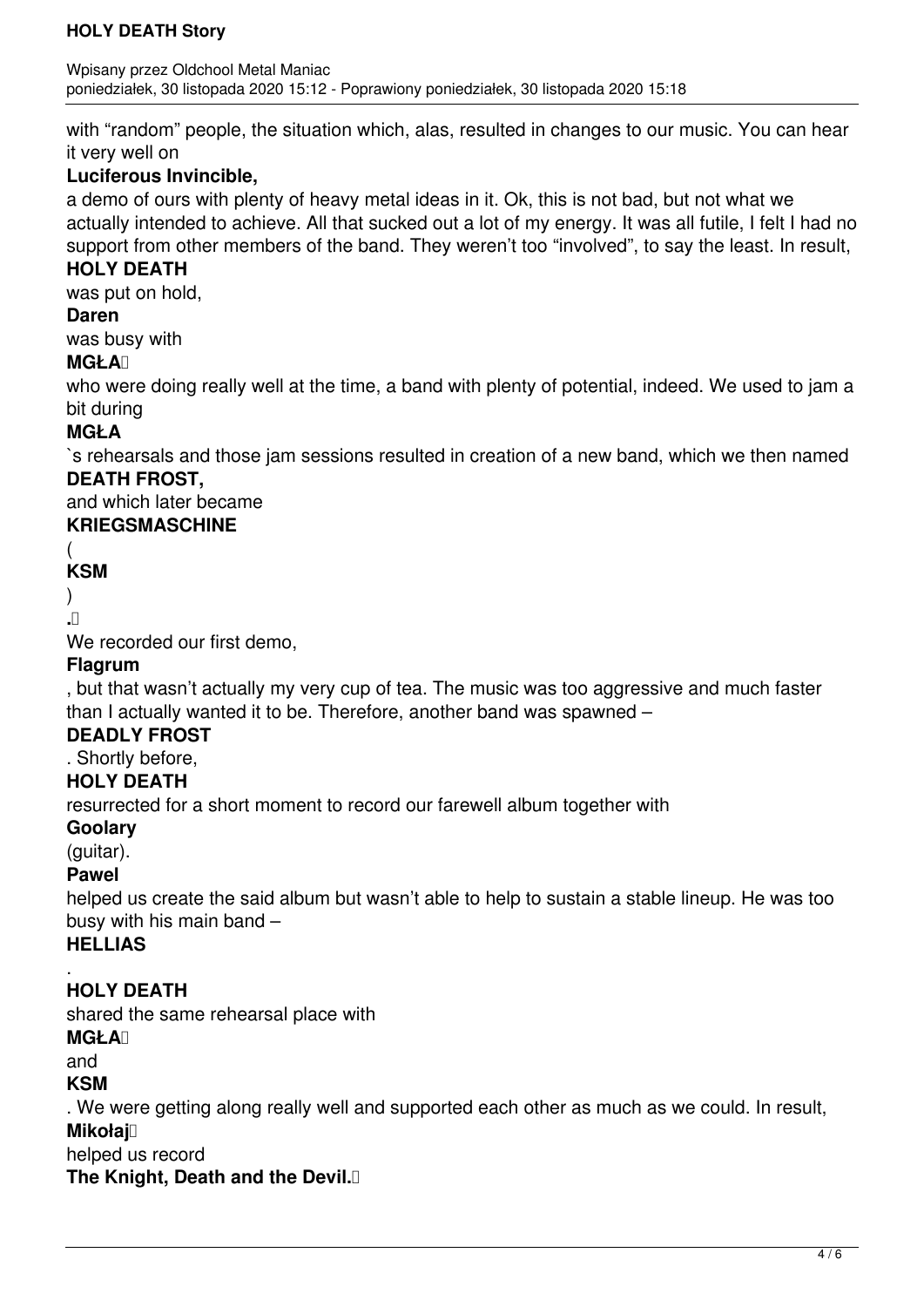with "random" people, the situation which, alas, resulted in changes to our music. You can hear it very well on

## **Luciferous Invincible,**

a demo of ours with plenty of heavy metal ideas in it. Ok, this is not bad, but not what we actually intended to achieve. All that sucked out a lot of my energy. It was all futile, I felt I had no support from other members of the band. They weren't too "involved", to say the least. In result,

### **HOLY DEATH**

was put on hold,

## **Daren**

was busy with

### **MGŁA**

who were doing really well at the time, a band with plenty of potential, indeed. We used to jam a bit during

## **MGŁA**

`s rehearsals and those jam sessions resulted in creation of a new band, which we then named **DEATH FROST,**

and which later became

## **KRIEGSMASCHINE**

## (

# **KSM**

) **.** 

We recorded our first demo,

## **Flagrum**

, but that wasn't actually my very cup of tea. The music was too aggressive and much faster than I actually wanted it to be. Therefore, another band was spawned –

## **DEADLY FROST**

. Shortly before,

## **HOLY DEATH**

resurrected for a short moment to record our farewell album together with

## **Goolary**

(guitar).

## **Pawel**

helped us create the said album but wasn't able to help to sustain a stable lineup. He was too busy with his main band –

## **HELLIAS**

#### . **HOLY DEATH**

shared the same rehearsal place with

#### **MGŁA**

and

## **KSM**

. We were getting along really well and supported each other as much as we could. In result, **Mikołaj** 

helped us record

**The Knight, Death and the Devil.**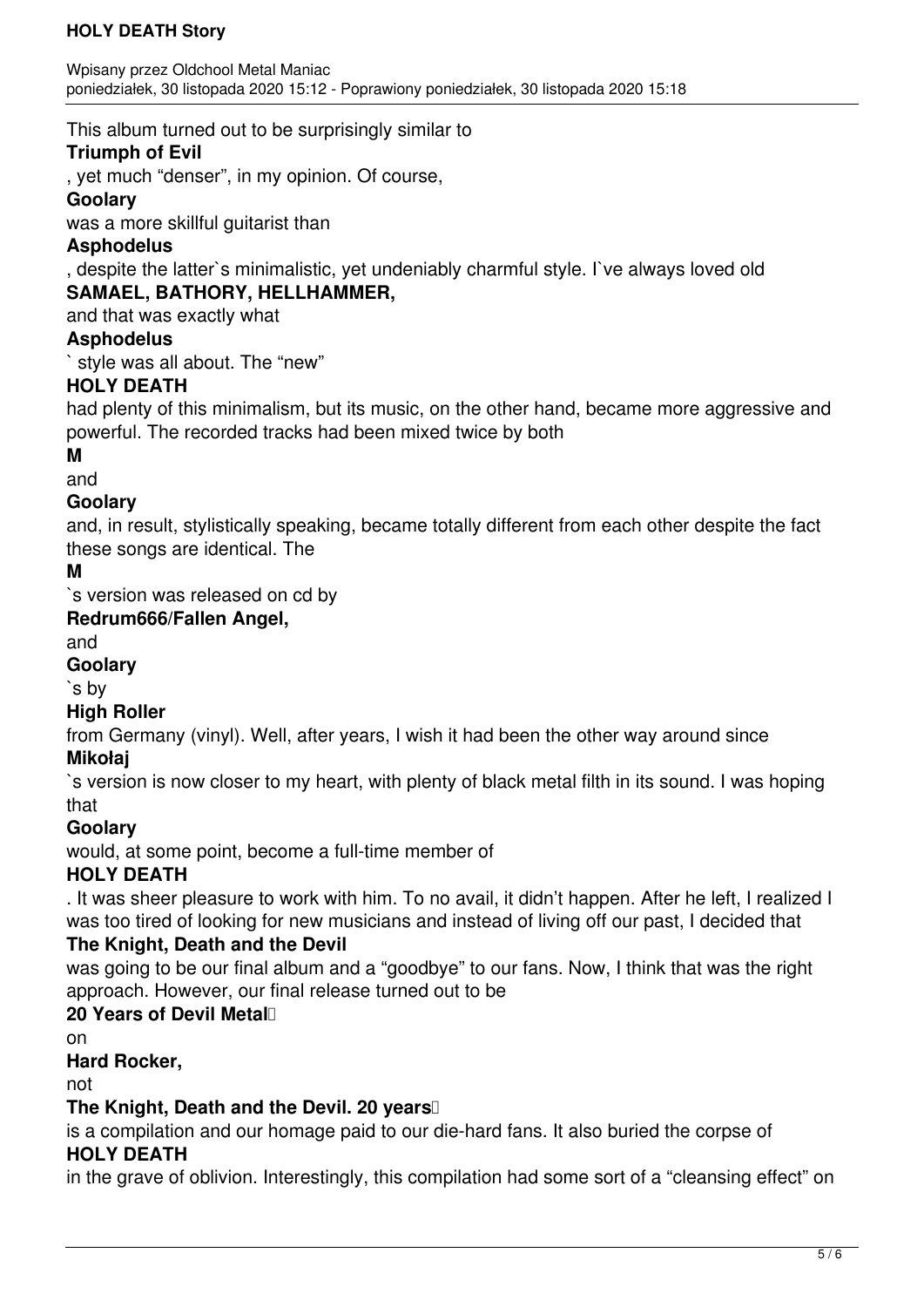This album turned out to be surprisingly similar to

## **Triumph of Evil**

, yet much "denser", in my opinion. Of course,

## **Goolary**

was a more skillful guitarist than

## **Asphodelus**

, despite the latter`s minimalistic, yet undeniably charmful style. I`ve always loved old **SAMAEL, BATHORY, HELLHAMMER,**

and that was exactly what

## **Asphodelus**

style was all about. The "new"

# **HOLY DEATH**

had plenty of this minimalism, but its music, on the other hand, became more aggressive and powerful. The recorded tracks had been mixed twice by both

## **M**

and

# **Goolary**

and, in result, stylistically speaking, became totally different from each other despite the fact these songs are identical. The

# **M**

`s version was released on cd by

## **Redrum666/Fallen Angel,**

and

## **Goolary**

`s by

## **High Roller**

from Germany (vinyl). Well, after years, I wish it had been the other way around since **Mikołaj**

`s version is now closer to my heart, with plenty of black metal filth in its sound. I was hoping that

## **Goolary**

would, at some point, become a full-time member of

# **HOLY DEATH**

. It was sheer pleasure to work with him. To no avail, it didn't happen. After he left, I realized I was too tired of looking for new musicians and instead of living off our past, I decided that

# **The Knight, Death and the Devil**

was going to be our final album and a "goodbye" to our fans. Now, I think that was the right approach. However, our final release turned out to be

# 20 Years of Devil Metal<sup>1</sup>

on

## **Hard Rocker,**

not

# **The Knight, Death and the Devil. 20 years**

is a compilation and our homage paid to our die-hard fans. It also buried the corpse of **HOLY DEATH**

in the grave of oblivion. Interestingly, this compilation had some sort of a "cleansing effect" on